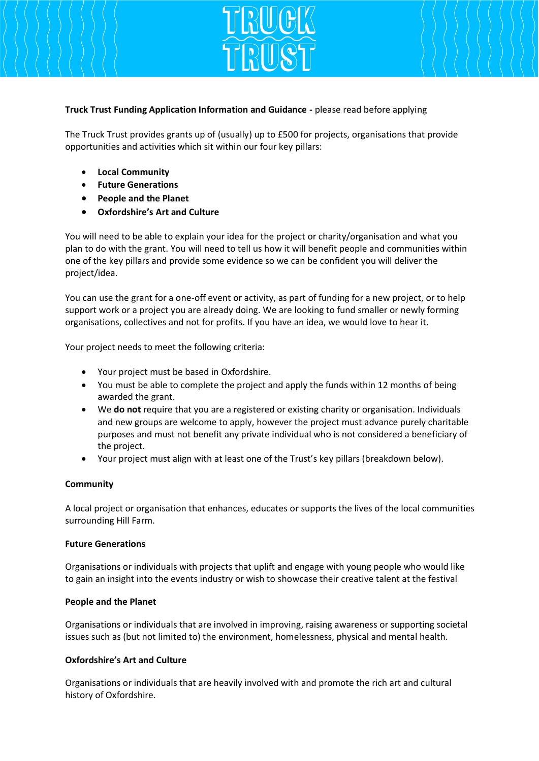

I

## **Truck Trust Funding Application Information and Guidance -** please read before applying

The Truck Trust provides grants up of (usually) up to £500 for projects, organisations that provide opportunities and activities which sit within our four key pillars:

- **Local Community**
- **Future Generations**
- **People and the Planet**
- **Oxfordshire's Art and Culture**

You will need to be able to explain your idea for the project or charity/organisation and what you plan to do with the grant. You will need to tell us how it will benefit people and communities within one of the key pillars and provide some evidence so we can be confident you will deliver the project/idea.

You can use the grant for a one-off event or activity, as part of funding for a new project, or to help support work or a project you are already doing. We are looking to fund smaller or newly forming organisations, collectives and not for profits. If you have an idea, we would love to hear it.

Your project needs to meet the following criteria:

- Your project must be based in Oxfordshire.
- You must be able to complete the project and apply the funds within 12 months of being awarded the grant.
- We **do not** require that you are a registered or existing charity or organisation. Individuals and new groups are welcome to apply, however the project must advance purely charitable purposes and must not benefit any private individual who is not considered a beneficiary of the project.
- Your project must align with at least one of the Trust's key pillars (breakdown below).

# **Community**

A local project or organisation that enhances, educates or supports the lives of the local communities surrounding Hill Farm.

### **Future Generations**

Organisations or individuals with projects that uplift and engage with young people who would like to gain an insight into the events industry or wish to showcase their creative talent at the festival

# **People and the Planet**

Organisations or individuals that are involved in improving, raising awareness or supporting societal issues such as (but not limited to) the environment, homelessness, physical and mental health.

# **Oxfordshire's Art and Culture**

Organisations or individuals that are heavily involved with and promote the rich art and cultural history of Oxfordshire.